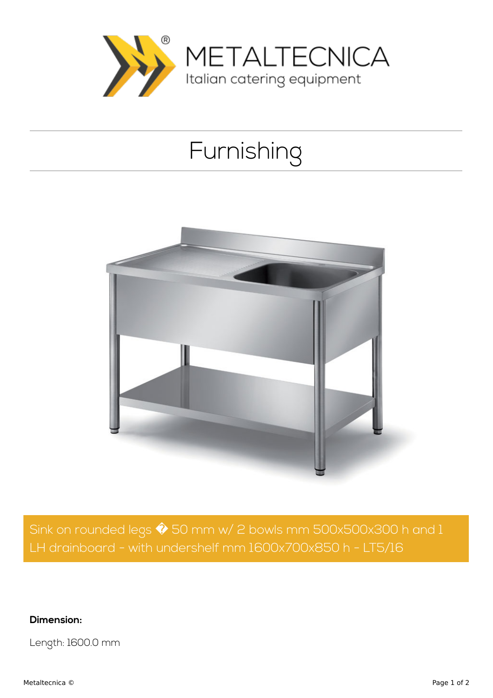

## Furnishing



Sink on rounded legs  $\hat{\blacklozenge}$  50 mm w/ 2 bowls mm 500x500x300 h and 1 LH drainboard - with undershelf mm 1600x700x850 h - LT5/16

## **Dimension:**

Length: 1600.0 mm